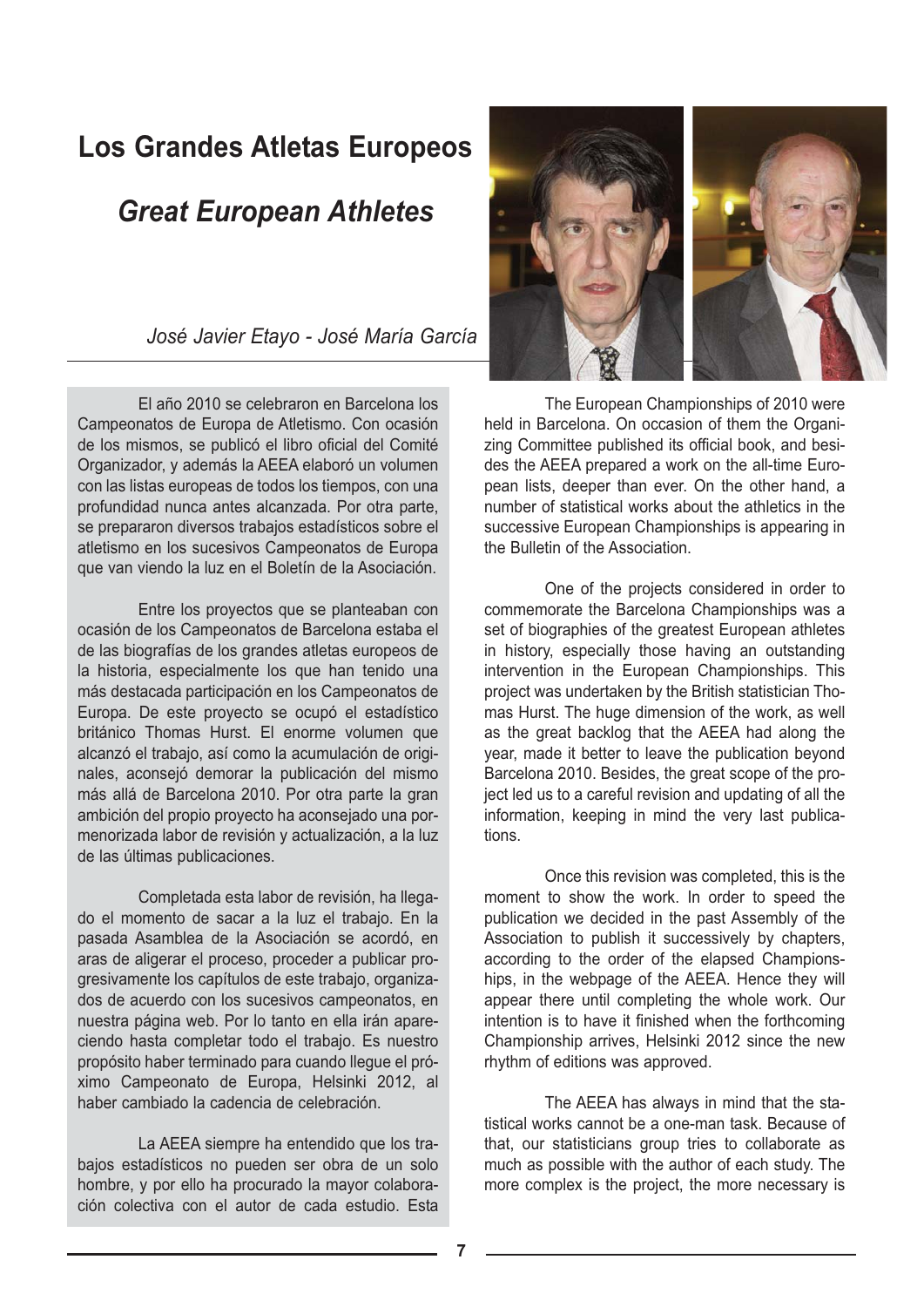## **Los Grandes Atletas Europeos**

## *Great European Athletes*

*José Javier Etayo - José María García*

El año 2010 se celebraron en Barcelona los Campeonatos de Europa de Atletismo. Con ocasión de los mismos, se publicó el libro oficial del Comité Organizador, y además la AEEA elaboró un volumen con las listas europeas de todos los tiempos, con una profundidad nunca antes alcanzada. Por otra parte, se prepararon diversos trabajos estadísticos sobre el atletismo en los sucesivos Campeonatos de Europa que van viendo la luz en el Boletín de la Asociación.

Entre los proyectos que se planteaban con ocasión de los Campeonatos de Barcelona estaba el de las biografías de los grandes atletas europeos de la historia, especialmente los que han tenido una más destacada participación en los Campeonatos de Europa. De este proyecto se ocupó el estadístico británico Thomas Hurst. El enorme volumen que alcanzó el trabajo, así como la acumulación de originales, aconsejó demorar la publicación del mismo más allá de Barcelona 2010. Por otra parte la gran ambición del propio proyecto ha aconsejado una pormenorizada labor de revisión y actualización, a la luz de las últimas publicaciones.

Completada esta labor de revisión, ha llegado el momento de sacar a la luz el trabajo. En la pasada Asamblea de la Asociación se acordó, en aras de aligerar el proceso, proceder a publicar progresivamente los capítulos de este trabajo, organizados de acuerdo con los sucesivos campeonatos, en nuestra página web. Por lo tanto en ella irán apareciendo hasta completar todo el trabajo. Es nuestro propósito haber terminado para cuando llegue el próximo Campeonato de Europa, Helsinki 2012, al haber cambiado la cadencia de celebración.

La AEEA siempre ha entendido que los trabajos estadísticos no pueden ser obra de un solo hombre, y por ello ha procurado la mayor colaboración colectiva con el autor de cada estudio. Esta



The European Championships of 2010 were held in Barcelona. On occasion of them the Organizing Committee published its official book, and besides the AEEA prepared a work on the all-time European lists, deeper than ever. On the other hand, a number of statistical works about the athletics in the successive European Championships is appearing in the Bulletin of the Association.

One of the projects considered in order to commemorate the Barcelona Championships was a set of biographies of the greatest European athletes in history, especially those having an outstanding intervention in the European Championships. This project was undertaken by the British statistician Thomas Hurst. The huge dimension of the work, as well as the great backlog that the AEEA had along the year, made it better to leave the publication beyond Barcelona 2010. Besides, the great scope of the project led us to a careful revision and updating of all the information, keeping in mind the very last publications.

Once this revision was completed, this is the moment to show the work. In order to speed the publication we decided in the past Assembly of the Association to publish it successively by chapters, according to the order of the elapsed Championships, in the webpage of the AEEA. Hence they will appear there until completing the whole work. Our intention is to have it finished when the forthcoming Championship arrives, Helsinki 2012 since the new rhythm of editions was approved.

The AEEA has always in mind that the statistical works cannot be a one-man task. Because of that, our statisticians group tries to collaborate as much as possible with the author of each study. The more complex is the project, the more necessary is